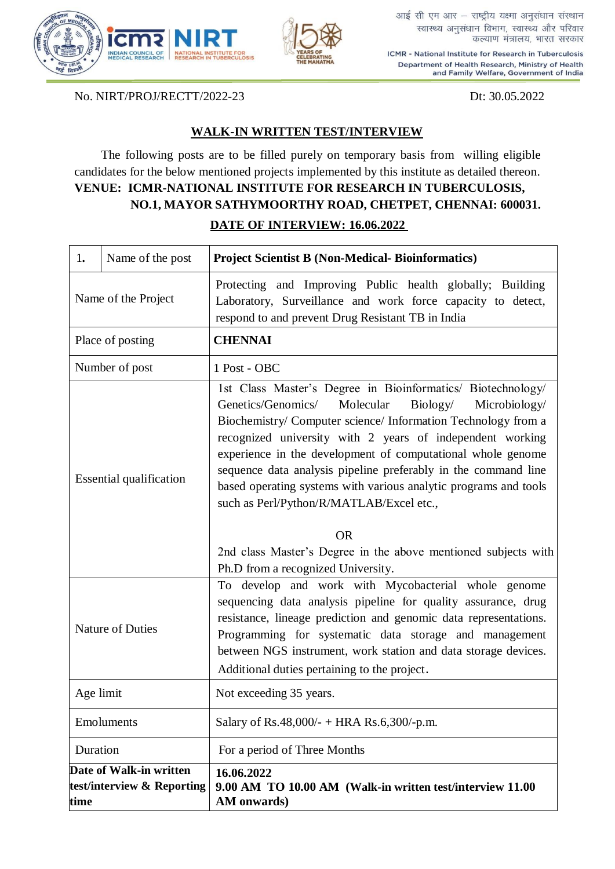



आई सी एम आर - राष्ट्रीय यक्ष्मा अनुसंधान संस्थान स्वास्थ्य अनुसंधान विभाग, स्वास्थ्य और परिवार कल्याण मंत्रालय, भारत सरकार

ICMR - National Institute for Research in Tuberculosis Department of Health Research, Ministry of Health and Family Welfare, Government of India

No. NIRT/PROJ/RECTT/2022-23 Dt: 30.05.2022

## **WALK-IN WRITTEN TEST/INTERVIEW**

The following posts are to be filled purely on temporary basis from willing eligible candidates for the below mentioned projects implemented by this institute as detailed thereon. **VENUE: ICMR-NATIONAL INSTITUTE FOR RESEARCH IN TUBERCULOSIS, NO.1, MAYOR SATHYMOORTHY ROAD, CHETPET, CHENNAI: 600031. DATE OF INTERVIEW: 16.06.2022**

| 1.                                                            | Name of the post        | <b>Project Scientist B (Non-Medical- Bioinformatics)</b>                                                                                                                                                                                                                                                                                                                                                                                                                                                                                                                                                                        |
|---------------------------------------------------------------|-------------------------|---------------------------------------------------------------------------------------------------------------------------------------------------------------------------------------------------------------------------------------------------------------------------------------------------------------------------------------------------------------------------------------------------------------------------------------------------------------------------------------------------------------------------------------------------------------------------------------------------------------------------------|
| Name of the Project                                           |                         | Protecting and Improving Public health globally; Building<br>Laboratory, Surveillance and work force capacity to detect,<br>respond to and prevent Drug Resistant TB in India                                                                                                                                                                                                                                                                                                                                                                                                                                                   |
| Place of posting                                              |                         | <b>CHENNAI</b>                                                                                                                                                                                                                                                                                                                                                                                                                                                                                                                                                                                                                  |
| Number of post                                                |                         | 1 Post - OBC                                                                                                                                                                                                                                                                                                                                                                                                                                                                                                                                                                                                                    |
| <b>Essential qualification</b>                                |                         | 1st Class Master's Degree in Bioinformatics/ Biotechnology/<br>Genetics/Genomics/<br>Molecular<br>Biology/<br>Microbiology/<br>Biochemistry/ Computer science/ Information Technology from a<br>recognized university with 2 years of independent working<br>experience in the development of computational whole genome<br>sequence data analysis pipeline preferably in the command line<br>based operating systems with various analytic programs and tools<br>such as Perl/Python/R/MATLAB/Excel etc.,<br><b>OR</b><br>2nd class Master's Degree in the above mentioned subjects with<br>Ph.D from a recognized University. |
|                                                               | <b>Nature of Duties</b> | To develop and work with Mycobacterial whole genome<br>sequencing data analysis pipeline for quality assurance, drug<br>resistance, lineage prediction and genomic data representations.<br>Programming for systematic data storage and management<br>between NGS instrument, work station and data storage devices.<br>Additional duties pertaining to the project.                                                                                                                                                                                                                                                            |
|                                                               | Age limit               | Not exceeding 35 years.                                                                                                                                                                                                                                                                                                                                                                                                                                                                                                                                                                                                         |
|                                                               | Emoluments              | Salary of Rs.48,000/- + HRA Rs.6,300/-p.m.                                                                                                                                                                                                                                                                                                                                                                                                                                                                                                                                                                                      |
|                                                               | Duration                | For a period of Three Months                                                                                                                                                                                                                                                                                                                                                                                                                                                                                                                                                                                                    |
| Date of Walk-in written<br>test/interview & Reporting<br>time |                         | 16.06.2022<br>9.00 AM TO 10.00 AM (Walk-in written test/interview 11.00<br>AM onwards)                                                                                                                                                                                                                                                                                                                                                                                                                                                                                                                                          |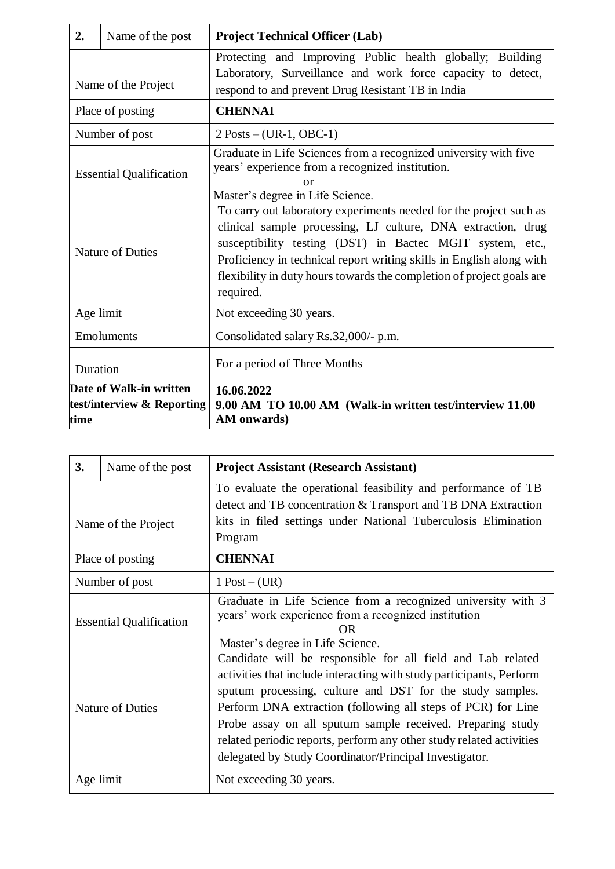| 2.                                                            | Name of the post | <b>Project Technical Officer (Lab)</b>                                                                                                                                                                                                                                                                                                                        |
|---------------------------------------------------------------|------------------|---------------------------------------------------------------------------------------------------------------------------------------------------------------------------------------------------------------------------------------------------------------------------------------------------------------------------------------------------------------|
| Name of the Project                                           |                  | Protecting and Improving Public health globally; Building<br>Laboratory, Surveillance and work force capacity to detect,<br>respond to and prevent Drug Resistant TB in India                                                                                                                                                                                 |
| Place of posting                                              |                  | <b>CHENNAI</b>                                                                                                                                                                                                                                                                                                                                                |
| Number of post                                                |                  | $2$ Posts – (UR-1, OBC-1)                                                                                                                                                                                                                                                                                                                                     |
| <b>Essential Qualification</b>                                |                  | Graduate in Life Sciences from a recognized university with five<br>years' experience from a recognized institution.<br>or<br>Master's degree in Life Science.                                                                                                                                                                                                |
| <b>Nature of Duties</b>                                       |                  | To carry out laboratory experiments needed for the project such as<br>clinical sample processing, LJ culture, DNA extraction, drug<br>susceptibility testing (DST) in Bactec MGIT system, etc.,<br>Proficiency in technical report writing skills in English along with<br>flexibility in duty hours towards the completion of project goals are<br>required. |
| Age limit                                                     |                  | Not exceeding 30 years.                                                                                                                                                                                                                                                                                                                                       |
| Emoluments                                                    |                  | Consolidated salary Rs.32,000/- p.m.                                                                                                                                                                                                                                                                                                                          |
| Duration                                                      |                  | For a period of Three Months                                                                                                                                                                                                                                                                                                                                  |
| Date of Walk-in written<br>test/interview & Reporting<br>time |                  | 16.06.2022<br>9.00 AM TO 10.00 AM (Walk-in written test/interview 11.00<br>AM onwards)                                                                                                                                                                                                                                                                        |

| 3.                             | Name of the post        | <b>Project Assistant (Research Assistant)</b>                                                                                                                                                                                                                                                                                                                                                                                                                    |
|--------------------------------|-------------------------|------------------------------------------------------------------------------------------------------------------------------------------------------------------------------------------------------------------------------------------------------------------------------------------------------------------------------------------------------------------------------------------------------------------------------------------------------------------|
| Name of the Project            |                         | To evaluate the operational feasibility and performance of TB<br>detect and TB concentration & Transport and TB DNA Extraction<br>kits in filed settings under National Tuberculosis Elimination<br>Program                                                                                                                                                                                                                                                      |
| Place of posting               |                         | <b>CHENNAI</b>                                                                                                                                                                                                                                                                                                                                                                                                                                                   |
| Number of post                 |                         | $1$ Post $-(UR)$                                                                                                                                                                                                                                                                                                                                                                                                                                                 |
| <b>Essential Qualification</b> |                         | Graduate in Life Science from a recognized university with 3<br>years' work experience from a recognized institution<br>OR<br>Master's degree in Life Science.                                                                                                                                                                                                                                                                                                   |
|                                | <b>Nature of Duties</b> | Candidate will be responsible for all field and Lab related<br>activities that include interacting with study participants, Perform<br>sputum processing, culture and DST for the study samples.<br>Perform DNA extraction (following all steps of PCR) for Line<br>Probe assay on all sputum sample received. Preparing study<br>related periodic reports, perform any other study related activities<br>delegated by Study Coordinator/Principal Investigator. |
| Age limit                      |                         | Not exceeding 30 years.                                                                                                                                                                                                                                                                                                                                                                                                                                          |